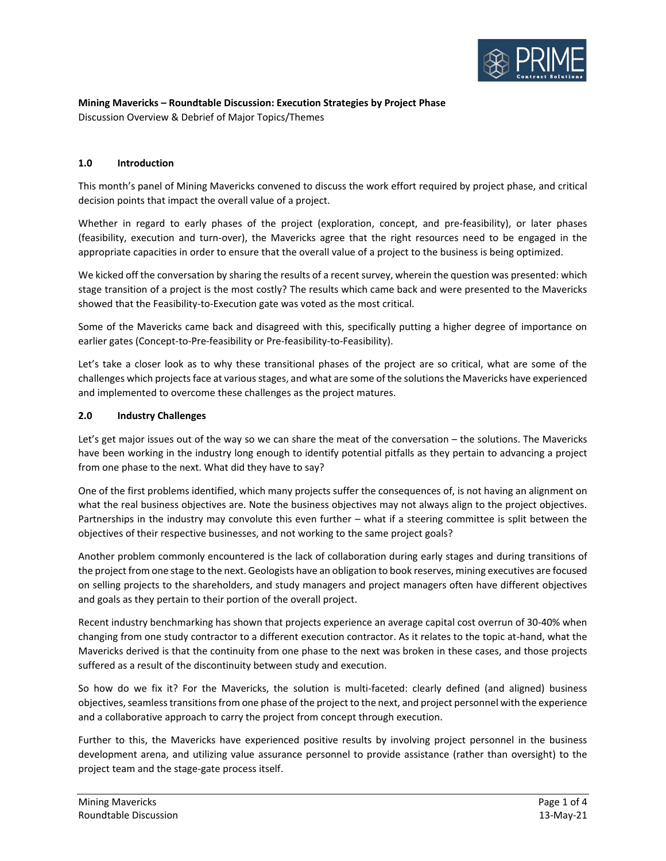

#### **Mining Mavericks – Roundtable Discussion: Execution Strategies by Project Phase** Discussion Overview & Debrief of Major Topics/Themes

## **1.0 Introduction**

This month's panel of Mining Mavericks convened to discuss the work effort required by project phase, and critical decision points that impact the overall value of a project.

Whether in regard to early phases of the project (exploration, concept, and pre-feasibility), or later phases (feasibility, execution and turn-over), the Mavericks agree that the right resources need to be engaged in the appropriate capacities in order to ensure that the overall value of a project to the business is being optimized.

We kicked off the conversation by sharing the results of a recent survey, wherein the question was presented: which stage transition of a project is the most costly? The results which came back and were presented to the Mavericks showed that the Feasibility-to-Execution gate was voted as the most critical.

Some of the Mavericks came back and disagreed with this, specifically putting a higher degree of importance on earlier gates (Concept-to-Pre-feasibility or Pre-feasibility-to-Feasibility).

Let's take a closer look as to why these transitional phases of the project are so critical, what are some of the challenges which projects face at various stages, and what are some of the solutions the Mavericks have experienced and implemented to overcome these challenges as the project matures.

### **2.0 Industry Challenges**

Let's get major issues out of the way so we can share the meat of the conversation – the solutions. The Mavericks have been working in the industry long enough to identify potential pitfalls as they pertain to advancing a project from one phase to the next. What did they have to say?

One of the first problems identified, which many projects suffer the consequences of, is not having an alignment on what the real business objectives are. Note the business objectives may not always align to the project objectives. Partnerships in the industry may convolute this even further – what if a steering committee is split between the objectives of their respective businesses, and not working to the same project goals?

Another problem commonly encountered is the lack of collaboration during early stages and during transitions of the project from one stage to the next. Geologists have an obligation to book reserves, mining executives are focused on selling projects to the shareholders, and study managers and project managers often have different objectives and goals as they pertain to their portion of the overall project.

Recent industry benchmarking has shown that projects experience an average capital cost overrun of 30-40% when changing from one study contractor to a different execution contractor. As it relates to the topic at-hand, what the Mavericks derived is that the continuity from one phase to the next was broken in these cases, and those projects suffered as a result of the discontinuity between study and execution.

So how do we fix it? For the Mavericks, the solution is multi-faceted: clearly defined (and aligned) business objectives, seamless transitionsfrom one phase of the project to the next, and project personnel with the experience and a collaborative approach to carry the project from concept through execution.

Further to this, the Mavericks have experienced positive results by involving project personnel in the business development arena, and utilizing value assurance personnel to provide assistance (rather than oversight) to the project team and the stage-gate process itself.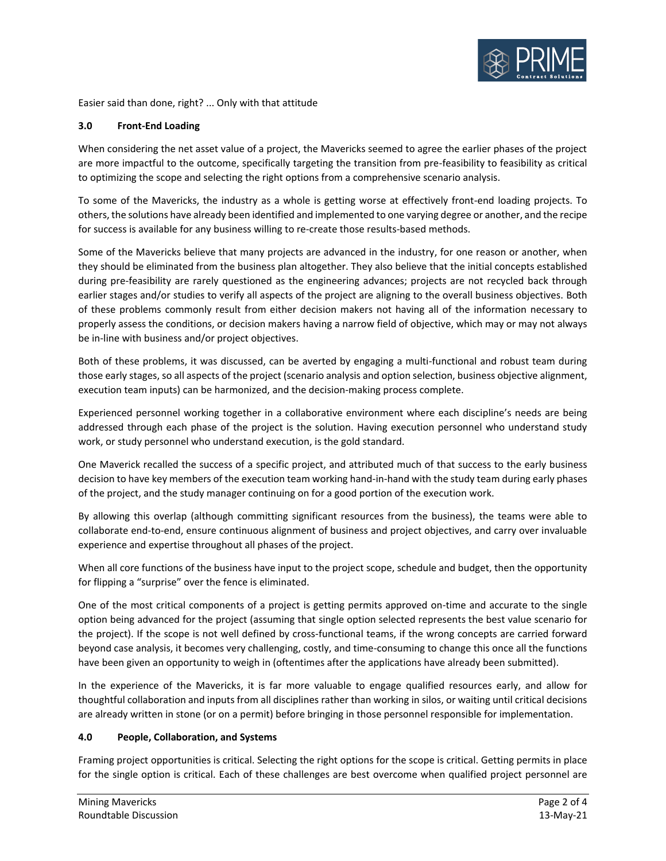

Easier said than done, right? ... Only with that attitude

# **3.0 Front-End Loading**

When considering the net asset value of a project, the Mavericks seemed to agree the earlier phases of the project are more impactful to the outcome, specifically targeting the transition from pre-feasibility to feasibility as critical to optimizing the scope and selecting the right options from a comprehensive scenario analysis.

To some of the Mavericks, the industry as a whole is getting worse at effectively front-end loading projects. To others, the solutions have already been identified and implemented to one varying degree or another, and the recipe for success is available for any business willing to re-create those results-based methods.

Some of the Mavericks believe that many projects are advanced in the industry, for one reason or another, when they should be eliminated from the business plan altogether. They also believe that the initial concepts established during pre-feasibility are rarely questioned as the engineering advances; projects are not recycled back through earlier stages and/or studies to verify all aspects of the project are aligning to the overall business objectives. Both of these problems commonly result from either decision makers not having all of the information necessary to properly assess the conditions, or decision makers having a narrow field of objective, which may or may not always be in-line with business and/or project objectives.

Both of these problems, it was discussed, can be averted by engaging a multi-functional and robust team during those early stages, so all aspects of the project (scenario analysis and option selection, business objective alignment, execution team inputs) can be harmonized, and the decision-making process complete.

Experienced personnel working together in a collaborative environment where each discipline's needs are being addressed through each phase of the project is the solution. Having execution personnel who understand study work, or study personnel who understand execution, is the gold standard.

One Maverick recalled the success of a specific project, and attributed much of that success to the early business decision to have key members of the execution team working hand-in-hand with the study team during early phases of the project, and the study manager continuing on for a good portion of the execution work.

By allowing this overlap (although committing significant resources from the business), the teams were able to collaborate end-to-end, ensure continuous alignment of business and project objectives, and carry over invaluable experience and expertise throughout all phases of the project.

When all core functions of the business have input to the project scope, schedule and budget, then the opportunity for flipping a "surprise" over the fence is eliminated.

One of the most critical components of a project is getting permits approved on-time and accurate to the single option being advanced for the project (assuming that single option selected represents the best value scenario for the project). If the scope is not well defined by cross-functional teams, if the wrong concepts are carried forward beyond case analysis, it becomes very challenging, costly, and time-consuming to change this once all the functions have been given an opportunity to weigh in (oftentimes after the applications have already been submitted).

In the experience of the Mavericks, it is far more valuable to engage qualified resources early, and allow for thoughtful collaboration and inputs from all disciplines rather than working in silos, or waiting until critical decisions are already written in stone (or on a permit) before bringing in those personnel responsible for implementation.

### **4.0 People, Collaboration, and Systems**

Framing project opportunities is critical. Selecting the right options for the scope is critical. Getting permits in place for the single option is critical. Each of these challenges are best overcome when qualified project personnel are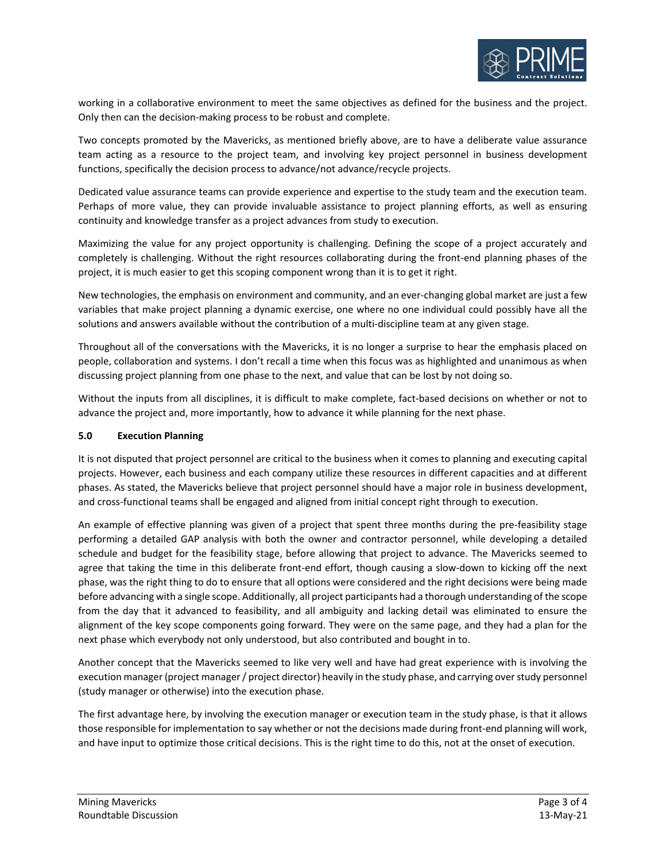

working in a collaborative environment to meet the same objectives as defined for the business and the project. Only then can the decision-making process to be robust and complete.

Two concepts promoted by the Mavericks, as mentioned briefly above, are to have a deliberate value assurance team acting as a resource to the project team, and involving key project personnel in business development functions, specifically the decision process to advance/not advance/recycle projects.

Dedicated value assurance teams can provide experience and expertise to the study team and the execution team. Perhaps of more value, they can provide invaluable assistance to project planning efforts, as well as ensuring continuity and knowledge transfer as a project advances from study to execution.

Maximizing the value for any project opportunity is challenging. Defining the scope of a project accurately and completely is challenging. Without the right resources collaborating during the front-end planning phases of the project, it is much easier to get this scoping component wrong than it is to get it right.

New technologies, the emphasis on environment and community, and an ever-changing global market are just a few variables that make project planning a dynamic exercise, one where no one individual could possibly have all the solutions and answers available without the contribution of a multi-discipline team at any given stage.

Throughout all of the conversations with the Mavericks, it is no longer a surprise to hear the emphasis placed on people, collaboration and systems. I don't recall a time when this focus was as highlighted and unanimous as when discussing project planning from one phase to the next, and value that can be lost by not doing so.

Without the inputs from all disciplines, it is difficult to make complete, fact-based decisions on whether or not to advance the project and, more importantly, how to advance it while planning for the next phase.

### **5.0 Execution Planning**

It is not disputed that project personnel are critical to the business when it comes to planning and executing capital projects. However, each business and each company utilize these resources in different capacities and at different phases. As stated, the Mavericks believe that project personnel should have a major role in business development, and cross-functional teams shall be engaged and aligned from initial concept right through to execution.

An example of effective planning was given of a project that spent three months during the pre-feasibility stage performing a detailed GAP analysis with both the owner and contractor personnel, while developing a detailed schedule and budget for the feasibility stage, before allowing that project to advance. The Mavericks seemed to agree that taking the time in this deliberate front-end effort, though causing a slow-down to kicking off the next phase, was the right thing to do to ensure that all options were considered and the right decisions were being made before advancing with a single scope. Additionally, all project participants had a thorough understanding of the scope from the day that it advanced to feasibility, and all ambiguity and lacking detail was eliminated to ensure the alignment of the key scope components going forward. They were on the same page, and they had a plan for the next phase which everybody not only understood, but also contributed and bought in to.

Another concept that the Mavericks seemed to like very well and have had great experience with is involving the execution manager (project manager / project director) heavily in the study phase, and carrying over study personnel (study manager or otherwise) into the execution phase.

The first advantage here, by involving the execution manager or execution team in the study phase, is that it allows those responsible for implementation to say whether or not the decisions made during front-end planning will work, and have input to optimize those critical decisions. This is the right time to do this, not at the onset of execution.